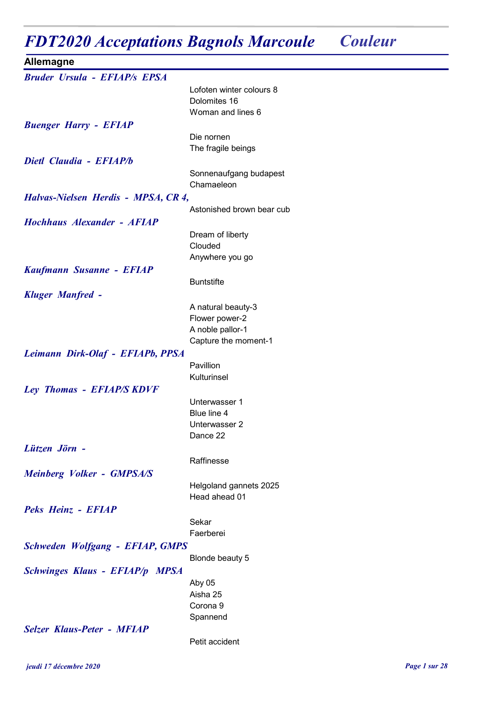## FDT2020 Acceptations Bagnols Marcoule Couleur

| <b>Allemagne</b>                       |                                      |
|----------------------------------------|--------------------------------------|
| <b>Bruder Ursula - EFIAP/s EPSA</b>    |                                      |
|                                        | Lofoten winter colours 8             |
|                                        | Dolomites 16                         |
|                                        | Woman and lines 6                    |
| <b>Buenger Harry - EFIAP</b>           |                                      |
|                                        | Die nornen<br>The fragile beings     |
| Dietl Claudia - EFIAP/b                |                                      |
|                                        | Sonnenaufgang budapest               |
|                                        | Chamaeleon                           |
| Halvas-Nielsen Herdis - MPSA, CR 4,    |                                      |
|                                        | Astonished brown bear cub            |
| Hochhaus Alexander - AFIAP             |                                      |
|                                        | Dream of liberty                     |
|                                        | Clouded                              |
|                                        | Anywhere you go                      |
| Kaufmann Susanne - EFIAP               |                                      |
|                                        | <b>Buntstifte</b>                    |
| <b>Kluger Manfred -</b>                |                                      |
|                                        | A natural beauty-3<br>Flower power-2 |
|                                        | A noble pallor-1                     |
|                                        | Capture the moment-1                 |
| Leimann Dirk-Olaf - EFIAPb, PPSA       |                                      |
|                                        | Pavillion                            |
|                                        | Kulturinsel                          |
| Ley Thomas - EFIAP/S KDVF              |                                      |
|                                        | Unterwasser 1                        |
|                                        | Blue line 4                          |
|                                        | Unterwasser 2<br>Dance 22            |
| Lützen Jörn -                          |                                      |
|                                        | Raffinesse                           |
| <b>Meinberg Volker - GMPSA/S</b>       |                                      |
|                                        | Helgoland gannets 2025               |
|                                        | Head ahead 01                        |
| Peks Heinz - EFIAP                     |                                      |
|                                        | Sekar                                |
|                                        | Faerberei                            |
| <b>Schweden Wolfgang - EFIAP, GMPS</b> |                                      |
|                                        | Blonde beauty 5                      |
| <b>Schwinges Klaus - EFIAP/p MPSA</b>  |                                      |
|                                        | Aby 05                               |
|                                        | Aisha 25<br>Corona <sub>9</sub>      |
|                                        | Spannend                             |
| <b>Selzer Klaus-Peter - MFIAP</b>      |                                      |
|                                        | Petit accident                       |
|                                        |                                      |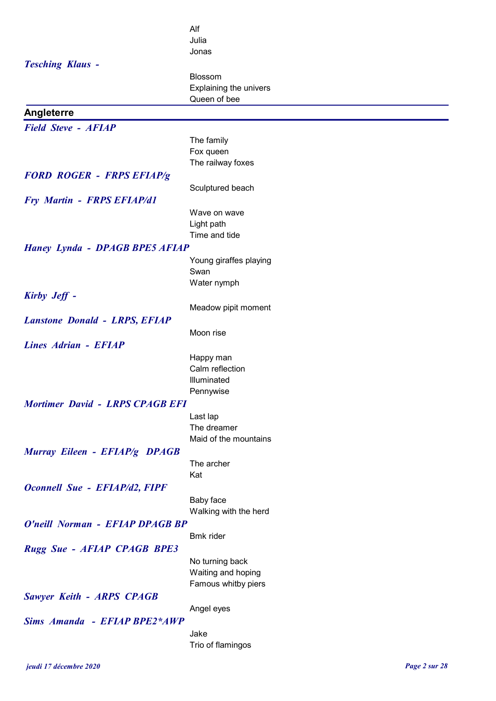|                                        | Alf                    |
|----------------------------------------|------------------------|
|                                        | Julia                  |
|                                        | Jonas                  |
| <b>Tesching Klaus -</b>                |                        |
|                                        | Blossom                |
|                                        | Explaining the univers |
|                                        | Queen of bee           |
| Angleterre                             |                        |
|                                        |                        |
| <b>Field Steve - AFIAP</b>             |                        |
|                                        | The family             |
|                                        | Fox queen              |
|                                        | The railway foxes      |
| <b>FORD ROGER - FRPS EFIAP/g</b>       |                        |
|                                        | Sculptured beach       |
| <b>Fry Martin - FRPS EFIAP/d1</b>      |                        |
|                                        | Wave on wave           |
|                                        | Light path             |
|                                        | Time and tide          |
| <b>Haney Lynda - DPAGB BPE5 AFIAP</b>  |                        |
|                                        | Young giraffes playing |
|                                        | Swan                   |
|                                        | Water nymph            |
| <b>Kirby Jeff -</b>                    |                        |
|                                        | Meadow pipit moment    |
|                                        |                        |
| <b>Lanstone Donald - LRPS, EFIAP</b>   |                        |
|                                        | Moon rise              |
| Lines Adrian - EFIAP                   |                        |
|                                        | Happy man              |
|                                        | Calm reflection        |
|                                        | Illuminated            |
|                                        | Pennywise              |
| <b>Mortimer David - LRPS CPAGB EFI</b> |                        |
|                                        | Last lap               |
|                                        | The dreamer            |
|                                        | Maid of the mountains  |
| Murray Eileen - EFIAP/g DPAGB          |                        |
|                                        | The archer             |
|                                        | Kat                    |
| <b>Oconnell Sue - EFIAP/d2, FIPF</b>   |                        |
|                                        | Baby face              |
|                                        | Walking with the herd  |
| O'neill Norman - EFIAP DPAGB BP        |                        |
|                                        | <b>Bmk</b> rider       |
| <b>Rugg Sue - AFIAP CPAGB BPE3</b>     |                        |
|                                        | No turning back        |
|                                        | Waiting and hoping     |
|                                        | Famous whitby piers    |
| <b>Sawyer Keith - ARPS CPAGB</b>       |                        |
|                                        | Angel eyes             |
| <b>Sims Amanda - EFIAP BPE2*AWP</b>    |                        |
|                                        |                        |
|                                        | Jake                   |
|                                        | Trio of flamingos      |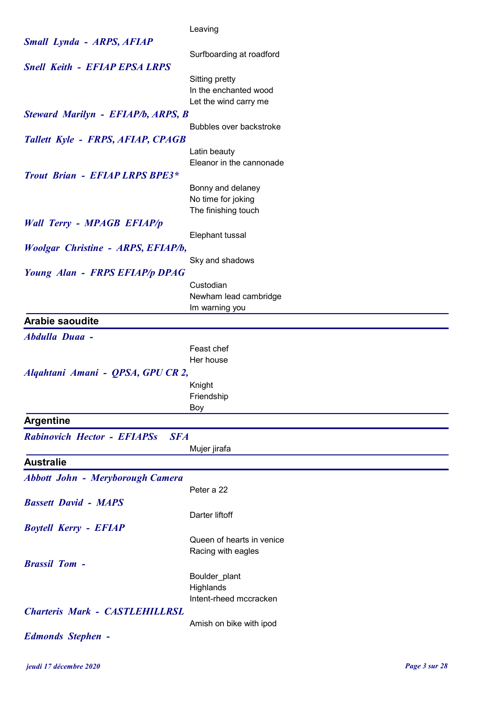|                                                  | Leaving                   |
|--------------------------------------------------|---------------------------|
| <b>Small Lynda - ARPS, AFIAP</b>                 |                           |
|                                                  | Surfboarding at roadford  |
| <b>Snell Keith - EFIAP EPSA LRPS</b>             |                           |
|                                                  | Sitting pretty            |
|                                                  | In the enchanted wood     |
|                                                  | Let the wind carry me     |
| Steward Marilyn - EFIAP/b, ARPS, B               | Bubbles over backstroke   |
|                                                  |                           |
| Tallett Kyle - FRPS, AFIAP, CPAGB                | Latin beauty              |
|                                                  | Eleanor in the cannonade  |
| <b>Trout Brian - EFIAP LRPS BPE3*</b>            |                           |
|                                                  | Bonny and delaney         |
|                                                  | No time for joking        |
|                                                  | The finishing touch       |
| <b>Wall Terry - MPAGB EFIAP/p</b>                |                           |
|                                                  | Elephant tussal           |
| <b>Woolgar Christine - ARPS, EFIAP/b,</b>        |                           |
|                                                  | Sky and shadows           |
| Young Alan - FRPS EFIAP/p DPAG                   |                           |
|                                                  | Custodian                 |
|                                                  | Newham lead cambridge     |
|                                                  | Im warning you            |
| <b>Arabie saoudite</b>                           |                           |
| <b>Abdulla Duaa -</b>                            |                           |
|                                                  | Feast chef                |
|                                                  | Her house                 |
| Alqahtani Amani - QPSA, GPU CR 2,                |                           |
|                                                  | Knight                    |
|                                                  | Friendship                |
|                                                  | Boy                       |
| <b>Argentine</b>                                 |                           |
| <b>Rabinovich Hector - EFIAPSs</b><br><b>SFA</b> |                           |
|                                                  | Mujer jirafa              |
| <b>Australie</b>                                 |                           |
| <b>Abbott John - Meryborough Camera</b>          |                           |
|                                                  | Peter a 22                |
| <b>Bassett David - MAPS</b>                      |                           |
|                                                  | Darter liftoff            |
| <b>Boytell Kerry - EFIAP</b>                     |                           |
|                                                  | Queen of hearts in venice |
|                                                  | Racing with eagles        |
| <b>Brassil Tom -</b>                             |                           |
|                                                  | Boulder_plant             |
|                                                  | Highlands                 |
|                                                  | Intent-rheed mccracken    |
| <b>Charteris Mark - CASTLEHILLRSL</b>            |                           |
|                                                  | Amish on bike with ipod   |
| <b>Edmonds Stephen -</b>                         |                           |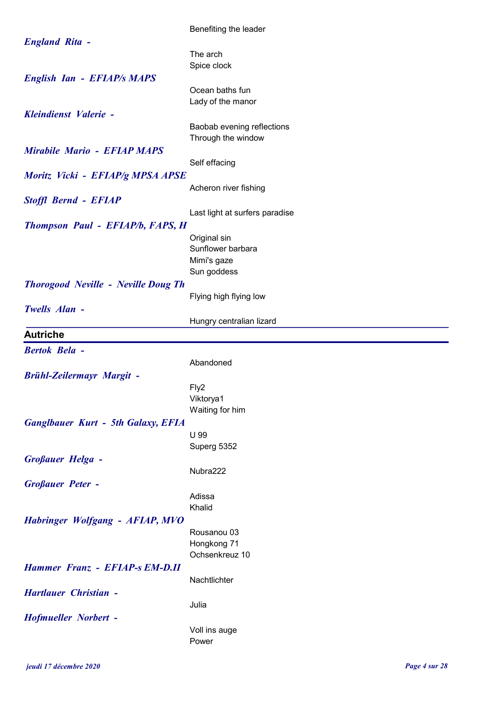|                                            | Benefiting the leader                            |
|--------------------------------------------|--------------------------------------------------|
| <b>England Rita -</b>                      |                                                  |
|                                            | The arch                                         |
|                                            | Spice clock                                      |
| <b>English Ian - EFIAP/s MAPS</b>          |                                                  |
|                                            | Ocean baths fun                                  |
| Kleindienst Valerie -                      | Lady of the manor                                |
|                                            |                                                  |
|                                            | Baobab evening reflections<br>Through the window |
| <b>Mirabile Mario - EFIAP MAPS</b>         |                                                  |
|                                            | Self effacing                                    |
|                                            |                                                  |
| Moritz Vicki - EFIAP/g MPSA APSE           | Acheron river fishing                            |
|                                            |                                                  |
| <b>Stoffl Bernd - EFIAP</b>                | Last light at surfers paradise                   |
|                                            |                                                  |
| <b>Thompson Paul - EFIAP/b, FAPS, H</b>    |                                                  |
|                                            | Original sin<br>Sunflower barbara                |
|                                            | Mimi's gaze                                      |
|                                            | Sun goddess                                      |
| <b>Thorogood Neville - Neville Doug Th</b> |                                                  |
|                                            | Flying high flying low                           |
| Twells Alan -                              |                                                  |
|                                            | Hungry centralian lizard                         |
| <b>Autriche</b>                            |                                                  |
|                                            |                                                  |
|                                            |                                                  |
| <b>Bertok Bela -</b>                       |                                                  |
|                                            | Abandoned                                        |
| <b>Brühl-Zeilermayr Margit -</b>           |                                                  |
|                                            | Fly2<br>Viktorya1                                |
|                                            | Waiting for him                                  |
| <b>Ganglbauer Kurt - 5th Galaxy, EFIA</b>  |                                                  |
|                                            | U 99                                             |
|                                            | Superg 5352                                      |
| <b>Großauer Helga -</b>                    |                                                  |
|                                            | Nubra222                                         |
| <b>Großauer Peter -</b>                    |                                                  |
|                                            | Adissa                                           |
|                                            | Khalid                                           |
| Habringer Wolfgang - AFIAP, MVO            |                                                  |
|                                            | Rousanou 03                                      |
|                                            | Hongkong 71                                      |
|                                            | Ochsenkreuz 10                                   |
| Hammer Franz - EFIAP-s EM-D.II             |                                                  |
|                                            | Nachtlichter                                     |
| <b>Hartlauer Christian -</b>               |                                                  |
|                                            | Julia                                            |
| <b>Hofmueller Norbert -</b>                |                                                  |
|                                            | Voll ins auge<br>Power                           |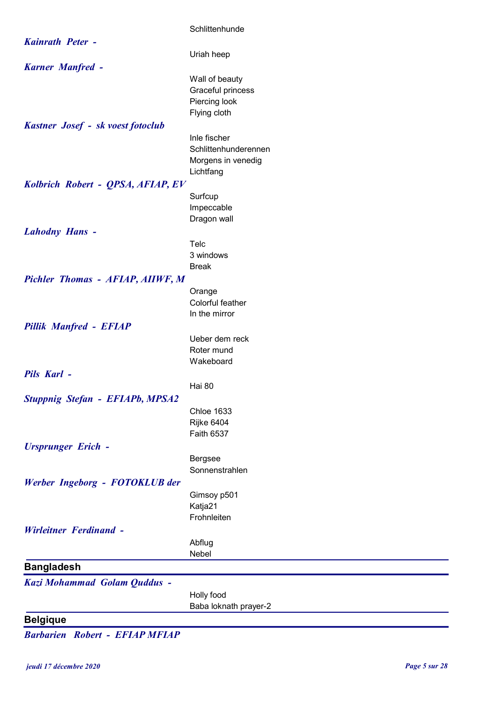|                                        | Schlittenhunde                         |
|----------------------------------------|----------------------------------------|
| <b>Kainrath Peter -</b>                |                                        |
|                                        | Uriah heep                             |
| <b>Karner Manfred -</b>                |                                        |
|                                        | Wall of beauty                         |
|                                        | Graceful princess                      |
|                                        | Piercing look                          |
|                                        | Flying cloth                           |
| Kastner Josef - sk voest fotoclub      | Inle fischer                           |
|                                        | Schlittenhunderennen                   |
|                                        | Morgens in venedig                     |
|                                        | Lichtfang                              |
| Kolbrich Robert - QPSA, AFIAP, EV      |                                        |
|                                        | Surfcup                                |
|                                        | Impeccable                             |
|                                        | Dragon wall                            |
| <b>Lahodny Hans -</b>                  |                                        |
|                                        | Telc                                   |
|                                        | 3 windows<br><b>Break</b>              |
| Pichler Thomas - AFIAP, AIIWF, M       |                                        |
|                                        | Orange                                 |
|                                        | Colorful feather                       |
|                                        | In the mirror                          |
| <b>Pillik Manfred - EFIAP</b>          |                                        |
|                                        | Ueber dem reck                         |
|                                        | Roter mund                             |
|                                        | Wakeboard                              |
| Pils Karl -                            |                                        |
|                                        | Hai 80                                 |
| <b>Stuppnig Stefan - EFIAPb, MPSA2</b> |                                        |
|                                        | <b>Chloe 1633</b><br><b>Rijke 6404</b> |
|                                        | Faith 6537                             |
| <b>Ursprunger Erich -</b>              |                                        |
|                                        | Bergsee                                |
|                                        | Sonnenstrahlen                         |
| Werber Ingeborg - FOTOKLUB der         |                                        |
|                                        | Gimsoy p501                            |
|                                        | Katja21                                |
|                                        | Frohnleiten                            |
| <b>Wirleitner Ferdinand -</b>          |                                        |
|                                        | Abflug                                 |
|                                        | Nebel                                  |
| <b>Bangladesh</b>                      |                                        |
| Kazi Mohammad Golam Quddus -           |                                        |
|                                        | Holly food<br>Baba loknath prayer-2    |
| <b>Belgique</b>                        |                                        |
|                                        |                                        |

Barbarien Robert - EFIAP MFIAP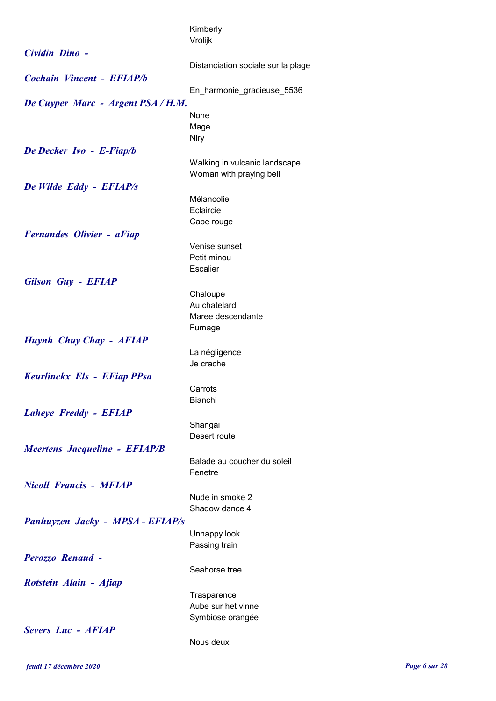|                                      | Kimberly                           |
|--------------------------------------|------------------------------------|
|                                      | Vrolijk                            |
| Cividin Dino -                       |                                    |
|                                      | Distanciation sociale sur la plage |
| Cochain Vincent - EFIAP/b            |                                    |
|                                      | En harmonie gracieuse 5536         |
| De Cuyper Marc - Argent PSA / H.M.   |                                    |
|                                      | None                               |
|                                      | Mage                               |
|                                      | <b>Niry</b>                        |
| De Decker Ivo - E-Fiap/b             |                                    |
|                                      | Walking in vulcanic landscape      |
|                                      | Woman with praying bell            |
| De Wilde Eddy - EFIAP/s              |                                    |
|                                      | Mélancolie                         |
|                                      | Eclaircie                          |
|                                      | Cape rouge                         |
| <b>Fernandes Olivier - aFiap</b>     |                                    |
|                                      | Venise sunset                      |
|                                      | Petit minou                        |
|                                      | <b>Escalier</b>                    |
| <b>Gilson Guy - EFIAP</b>            |                                    |
|                                      | Chaloupe                           |
|                                      | Au chatelard                       |
|                                      | Maree descendante                  |
|                                      | Fumage                             |
| Huynh Chuy Chay - AFIAP              |                                    |
|                                      | La négligence                      |
|                                      | Je crache                          |
| Keurlinckx Els - EFiap PPsa          |                                    |
|                                      | Carrots                            |
|                                      | <b>Bianchi</b>                     |
| Laheye Freddy - EFIAP                |                                    |
|                                      | Shangai                            |
|                                      | Desert route                       |
| <b>Meertens Jacqueline - EFIAP/B</b> |                                    |
|                                      | Balade au coucher du soleil        |
|                                      | Fenetre                            |
| <b>Nicoll Francis - MFIAP</b>        |                                    |
|                                      | Nude in smoke 2                    |
|                                      | Shadow dance 4                     |
| Panhuyzen Jacky - MPSA - EFIAP/s     |                                    |
|                                      | Unhappy look                       |
|                                      | Passing train                      |
| Perozzo Renaud -                     |                                    |
|                                      | Seahorse tree                      |
| Rotstein Alain - Afiap               |                                    |
|                                      | Trasparence                        |
|                                      | Aube sur het vinne                 |
|                                      | Symbiose orangée                   |
| <b>Severs Luc - AFIAP</b>            |                                    |
|                                      | Nous deux                          |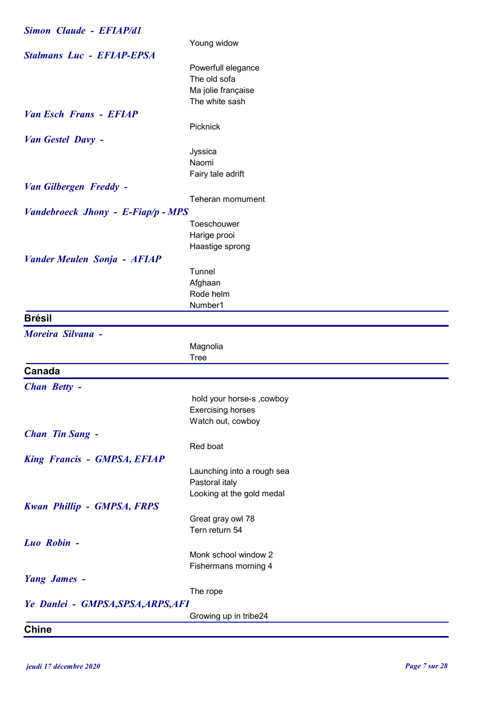| <b>Simon Claude - EFIAP/d1</b>     |                            |
|------------------------------------|----------------------------|
|                                    | Young widow                |
| <b>Stalmans Luc - EFIAP-EPSA</b>   |                            |
|                                    | Powerfull elegance         |
|                                    | The old sofa               |
|                                    | Ma jolie française         |
|                                    | The white sash             |
| <b>Van Esch Frans - EFIAP</b>      |                            |
|                                    | Picknick                   |
| Van Gestel Davy -                  |                            |
|                                    | Jyssica                    |
|                                    | Naomi                      |
|                                    | Fairy tale adrift          |
| Van Gilbergen Freddy -             |                            |
|                                    | Teheran momument           |
|                                    |                            |
| Vandebroeck Jhony - E-Fiap/p - MPS | Toeschouwer                |
|                                    |                            |
|                                    | Harige prooi               |
|                                    | Haastige sprong            |
| <b>Vander Meulen Sonja - AFIAP</b> |                            |
|                                    | Tunnel                     |
|                                    | Afghaan                    |
|                                    | Rode helm                  |
|                                    | Number1                    |
| <b>Brésil</b>                      |                            |
| Moreira Silvana -                  |                            |
|                                    | Magnolia                   |
|                                    | <b>Tree</b>                |
| Canada                             |                            |
| <b>Chan Betty -</b>                |                            |
|                                    | hold your horse-s , cowboy |
|                                    | <b>Exercising horses</b>   |
|                                    | Watch out, cowboy          |
| <b>Chan Tin Sang -</b>             |                            |
|                                    | Red boat                   |
|                                    |                            |
| <b>King Francis - GMPSA, EFIAP</b> |                            |
|                                    | Launching into a rough sea |
|                                    | Pastoral italy             |
|                                    | Looking at the gold medal  |
| <b>Kwan Phillip - GMPSA, FRPS</b>  |                            |
|                                    | Great gray owl 78          |
|                                    | Tern return 54             |
| Luo Robin -                        |                            |
|                                    | Monk school window 2       |
|                                    | Fishermans morning 4       |
| <b>Yang James -</b>                |                            |
|                                    | The rope                   |
|                                    |                            |
| Ye Danlei - GMPSA, SPSA, ARPS, AFI |                            |
|                                    | Growing up in tribe24      |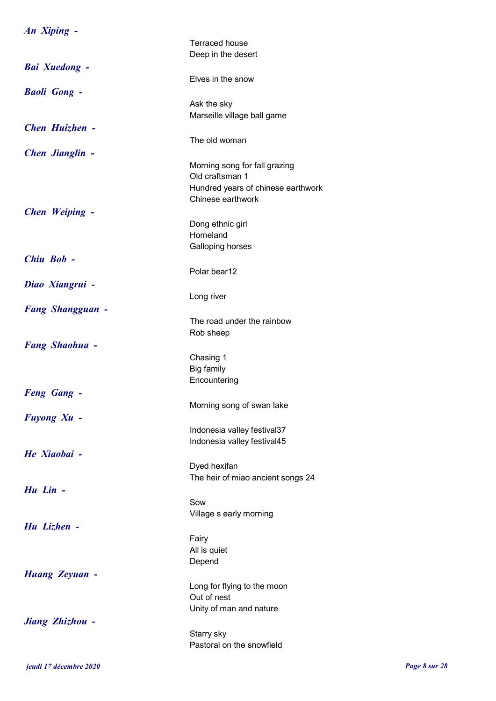| An Xiping -             |                                                  |
|-------------------------|--------------------------------------------------|
|                         | <b>Terraced house</b>                            |
|                         | Deep in the desert                               |
| <b>Bai Xuedong -</b>    |                                                  |
|                         | Elves in the snow                                |
| <b>Baoli Gong -</b>     |                                                  |
|                         | Ask the sky                                      |
|                         | Marseille village ball game                      |
| <b>Chen Huizhen -</b>   |                                                  |
|                         | The old woman                                    |
|                         |                                                  |
| <b>Chen Jianglin -</b>  |                                                  |
|                         | Morning song for fall grazing<br>Old craftsman 1 |
|                         | Hundred years of chinese earthwork               |
|                         | Chinese earthwork                                |
| Chen Weiping -          |                                                  |
|                         | Dong ethnic girl                                 |
|                         | Homeland                                         |
|                         | Galloping horses                                 |
| Chiu Bob -              |                                                  |
|                         | Polar bear12                                     |
| Diao Xiangrui -         |                                                  |
|                         | Long river                                       |
|                         |                                                  |
| <b>Fang Shangguan -</b> | The road under the rainbow                       |
|                         | Rob sheep                                        |
| <b>Fang Shaohua -</b>   |                                                  |
|                         | Chasing 1                                        |
|                         | Big family                                       |
|                         | Encountering                                     |
| <b>Feng Gang -</b>      |                                                  |
|                         | Morning song of swan lake                        |
| Fuyong Xu -             |                                                  |
|                         | Indonesia valley festival37                      |
|                         | Indonesia valley festival45                      |
| He Xiaobai -            |                                                  |
|                         | Dyed hexifan                                     |
|                         | The heir of miao ancient songs 24                |
| Hu Lin -                |                                                  |
|                         | Sow                                              |
|                         | Village s early morning                          |
| Hu Lizhen -             |                                                  |
|                         | Fairy                                            |
|                         | All is quiet                                     |
|                         | Depend                                           |
| <b>Huang Zeyuan -</b>   |                                                  |
|                         | Long for flying to the moon                      |
|                         | Out of nest                                      |
|                         | Unity of man and nature                          |
| Jiang Zhizhou -         |                                                  |
|                         | Starry sky                                       |
|                         | Pastoral on the snowfield                        |
|                         |                                                  |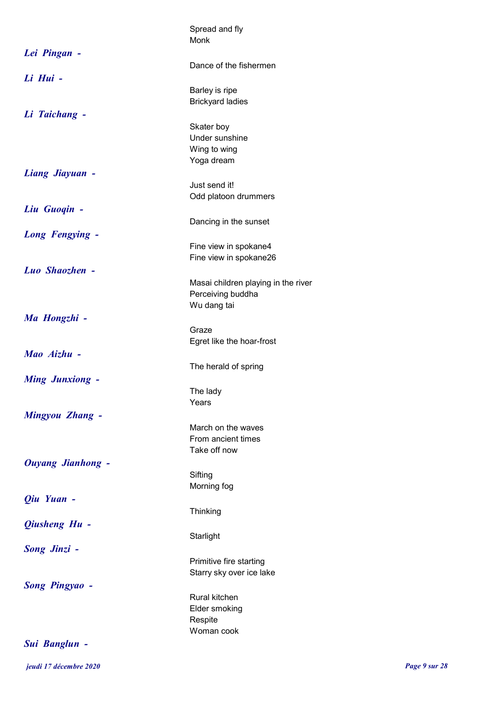|                          | Spread and fly                      |
|--------------------------|-------------------------------------|
|                          | Monk                                |
| Lei Pingan -             |                                     |
|                          | Dance of the fishermen              |
| Li Hui -                 |                                     |
|                          | Barley is ripe                      |
|                          | <b>Brickyard ladies</b>             |
| Li Taichang -            |                                     |
|                          | Skater boy                          |
|                          | Under sunshine                      |
|                          | Wing to wing                        |
|                          | Yoga dream                          |
| <b>Liang Jiayuan -</b>   |                                     |
|                          | Just send it!                       |
|                          | Odd platoon drummers                |
| Liu Guogin -             |                                     |
|                          | Dancing in the sunset               |
| Long Fengying -          |                                     |
|                          | Fine view in spokane4               |
|                          | Fine view in spokane26              |
| Luo Shaozhen -           |                                     |
|                          | Masai children playing in the river |
|                          | Perceiving buddha<br>Wu dang tai    |
|                          |                                     |
| Ma Hongzhi -             | Graze                               |
|                          | Egret like the hoar-frost           |
| Mao Aizhu -              |                                     |
|                          | The herald of spring                |
| <b>Ming Junxiong -</b>   |                                     |
|                          | The lady                            |
|                          | Years                               |
| Mingyou Zhang -          |                                     |
|                          | March on the waves                  |
|                          | From ancient times                  |
|                          | Take off now                        |
| <b>Ouyang Jianhong -</b> |                                     |
|                          | Sifting                             |
|                          | Morning fog                         |
| Qiu Yuan -               |                                     |
|                          | Thinking                            |
| Qiusheng Hu -            |                                     |
|                          | Starlight                           |
| <b>Song Jinzi -</b>      |                                     |
|                          | Primitive fire starting             |
|                          | Starry sky over ice lake            |
| <b>Song Pingyao -</b>    |                                     |
|                          | Rural kitchen                       |
|                          | Elder smoking                       |
|                          | Respite                             |
|                          | Woman cook                          |
| Sui Banglun -            |                                     |
|                          |                                     |

jeudi 17 décembre 2020 Page 9 sur 28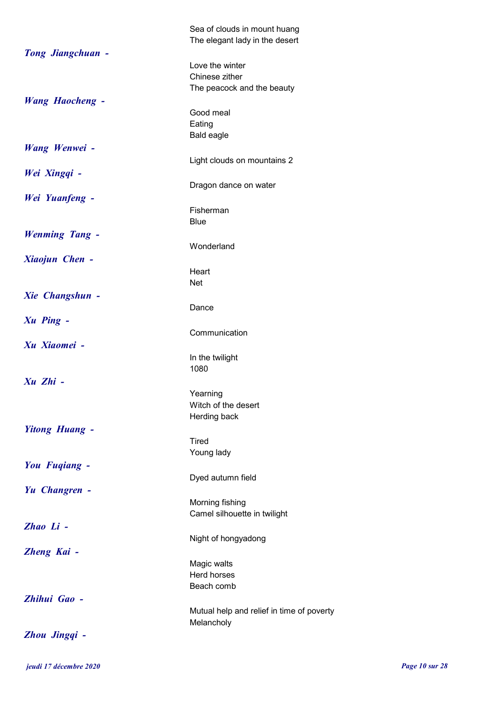|                          | Sea of clouds in mount huang<br>The elegant lady in the desert |
|--------------------------|----------------------------------------------------------------|
| <b>Tong Jiangchuan -</b> |                                                                |
|                          | Love the winter                                                |
|                          | Chinese zither                                                 |
|                          | The peacock and the beauty                                     |
| <b>Wang Haocheng -</b>   |                                                                |
|                          | Good meal                                                      |
|                          | Eating                                                         |
|                          | <b>Bald eagle</b>                                              |
| Wang Wenwei -            |                                                                |
|                          | Light clouds on mountains 2                                    |
| Wei Xingqi -             |                                                                |
|                          | Dragon dance on water                                          |
| Wei Yuanfeng -           |                                                                |
|                          | Fisherman                                                      |
|                          |                                                                |
|                          | <b>Blue</b>                                                    |
| <b>Wenming Tang -</b>    |                                                                |
|                          | Wonderland                                                     |
| Xiaojun Chen -           |                                                                |
|                          | Heart                                                          |
|                          | <b>Net</b>                                                     |
| <b>Xie Changshun -</b>   |                                                                |
|                          | Dance                                                          |
| <b>Xu Ping -</b>         |                                                                |
|                          | Communication                                                  |
| Xu Xiaomei -             |                                                                |
|                          |                                                                |
|                          | In the twilight                                                |
|                          | 1080                                                           |
| Xu Zhi -                 |                                                                |
|                          | Yearning                                                       |
|                          | Witch of the desert                                            |
|                          | Herding back                                                   |
| <b>Yitong Huang -</b>    |                                                                |
|                          | Tired                                                          |
|                          | Young lady                                                     |
| You Fugiang -            |                                                                |
|                          | Dyed autumn field                                              |
| Yu Changren -            |                                                                |
|                          | Morning fishing                                                |
|                          | Camel silhouette in twilight                                   |
| Zhao Li -                |                                                                |
|                          |                                                                |
|                          | Night of hongyadong                                            |
| Zheng Kai -              |                                                                |
|                          | Magic walts                                                    |
|                          | Herd horses                                                    |
|                          | Beach comb                                                     |
| Zhihui Gao -             |                                                                |
|                          | Mutual help and relief in time of poverty                      |
|                          | Melancholy                                                     |
| Zhou Jingqi -            |                                                                |

jeudi 17 décembre 2020 Page 10 sur 28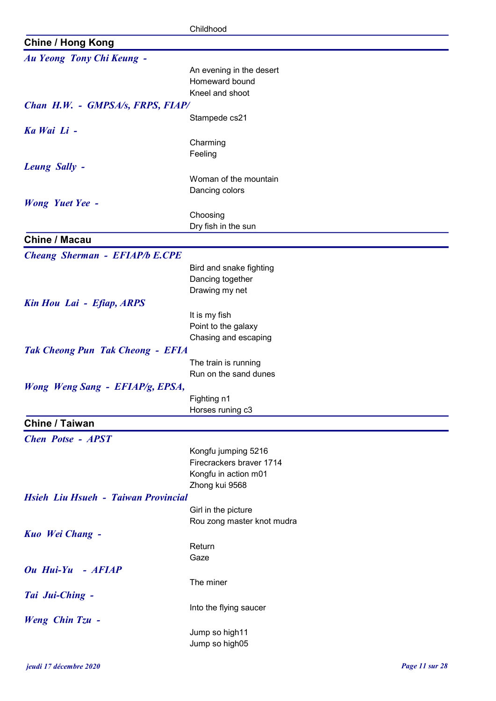|                                         | Childhood                               |
|-----------------------------------------|-----------------------------------------|
| <b>Chine / Hong Kong</b>                |                                         |
| Au Yeong Tony Chi Keung -               |                                         |
|                                         | An evening in the desert                |
|                                         | Homeward bound                          |
|                                         | Kneel and shoot                         |
| Chan H.W. - GMPSA/s, FRPS, FIAP/        |                                         |
|                                         | Stampede cs21                           |
| Ka Wai Li -                             |                                         |
|                                         | Charming                                |
|                                         | Feeling                                 |
| Leung Sally -                           |                                         |
|                                         | Woman of the mountain<br>Dancing colors |
| <b>Wong Yuet Yee -</b>                  |                                         |
|                                         | Choosing                                |
|                                         | Dry fish in the sun                     |
| <b>Chine / Macau</b>                    |                                         |
| <b>Cheang Sherman - EFIAP/b E.CPE</b>   |                                         |
|                                         | Bird and snake fighting                 |
|                                         | Dancing together                        |
|                                         | Drawing my net                          |
| Kin Hou Lai - Efiap, ARPS               |                                         |
|                                         | It is my fish                           |
|                                         | Point to the galaxy                     |
|                                         | Chasing and escaping                    |
| <b>Tak Cheong Pun Tak Cheong - EFIA</b> |                                         |
|                                         | The train is running                    |
|                                         | Run on the sand dunes                   |
| Wong Weng Sang - EFIAP/g, EPSA,         |                                         |
|                                         | Fighting n1<br>Horses runing c3         |
| Chine / Taiwan                          |                                         |
|                                         |                                         |
| <b>Chen Potse - APST</b>                | Kongfu jumping 5216                     |
|                                         | Firecrackers braver 1714                |
|                                         | Kongfu in action m01                    |
|                                         | Zhong kui 9568                          |
| Hsieh Liu Hsueh - Taiwan Provincial     |                                         |
|                                         | Girl in the picture                     |
|                                         | Rou zong master knot mudra              |
| Kuo Wei Chang -                         |                                         |
|                                         | Return                                  |
|                                         | Gaze                                    |
| Ou Hui-Yu - AFIAP                       |                                         |
|                                         | The miner                               |
| Tai Jui-Ching -                         |                                         |
|                                         | Into the flying saucer                  |
| <b>Weng Chin Tzu -</b>                  |                                         |
|                                         | Jump so high11<br>Jump so high05        |
|                                         |                                         |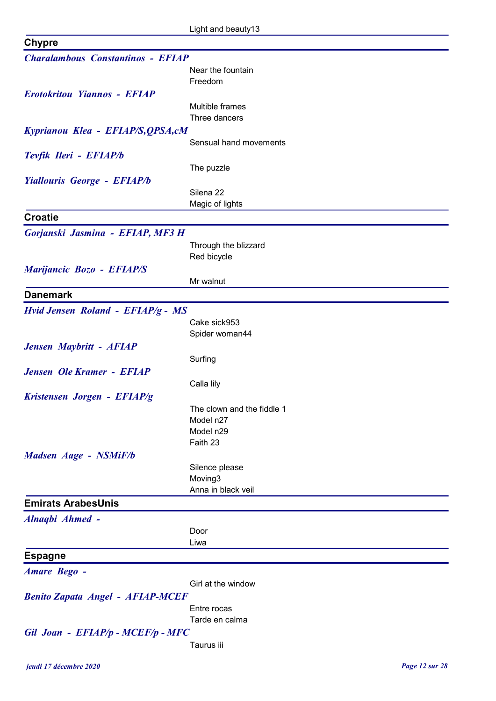| <b>Chypre</b>                            |                            |
|------------------------------------------|----------------------------|
| <b>Charalambous Constantinos - EFIAP</b> |                            |
|                                          | Near the fountain          |
|                                          | Freedom                    |
| <b>Erotokritou Yiannos - EFIAP</b>       |                            |
|                                          | Multible frames            |
|                                          | Three dancers              |
| Kyprianou Klea - EFIAP/S, QPSA, cM       |                            |
|                                          | Sensual hand movements     |
| Tevfik Ileri - EFIAP/b                   |                            |
|                                          | The puzzle                 |
| Yiallouris George - EFIAP/b              |                            |
|                                          | Silena 22                  |
|                                          | Magic of lights            |
| <b>Croatie</b>                           |                            |
|                                          |                            |
| Gorjanski Jasmina - EFIAP, MF3 H         |                            |
|                                          | Through the blizzard       |
|                                          | Red bicycle                |
| Marijancic Bozo - EFIAP/S                |                            |
|                                          | Mr walnut                  |
| <b>Danemark</b>                          |                            |
| Hvid Jensen Roland - EFIAP/g - MS        |                            |
|                                          | Cake sick953               |
|                                          | Spider woman44             |
| Jensen Maybritt - AFIAP                  |                            |
|                                          | Surfing                    |
| <b>Jensen Ole Kramer - EFIAP</b>         |                            |
|                                          | Calla lily                 |
| Kristensen Jorgen - EFIAP/g              |                            |
|                                          | The clown and the fiddle 1 |
|                                          | Model n27                  |
|                                          | Model n29                  |
|                                          | Faith 23                   |
| Madsen Aage - NSMiF/b                    |                            |
|                                          | Silence please             |
|                                          | Moving3                    |
|                                          | Anna in black veil         |
| <b>Emirats ArabesUnis</b>                |                            |
| Alnaqbi Ahmed -                          |                            |
|                                          | Door                       |
|                                          | Liwa                       |
| <b>Espagne</b>                           |                            |
| <b>Amare Bego -</b>                      |                            |
|                                          | Girl at the window         |
|                                          |                            |
| <b>Benito Zapata Angel - AFIAP-MCEF</b>  |                            |
|                                          | Entre rocas                |
|                                          | Tarde en calma             |
| Gil Joan - EFIAP/p - MCEF/p - MFC        |                            |
|                                          | Taurus iii                 |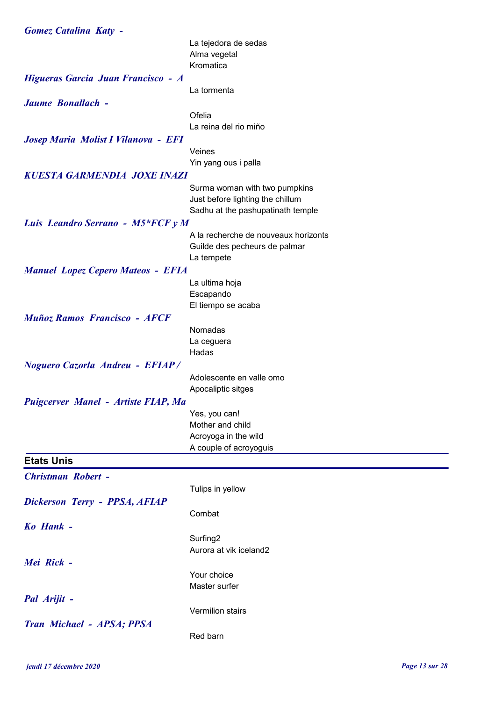| <b>Gomez Catalina Katy -</b>             |                                      |
|------------------------------------------|--------------------------------------|
|                                          | La tejedora de sedas                 |
|                                          | Alma vegetal                         |
|                                          | Kromatica                            |
| Higueras Garcia Juan Francisco - A       |                                      |
|                                          | La tormenta                          |
| Jaume Bonallach -                        |                                      |
|                                          | Ofelia                               |
|                                          | La reina del rio miño                |
| Josep Maria Molist I Vilanova - EFI      |                                      |
|                                          | Veines                               |
|                                          | Yin yang ous i palla                 |
| <b>KUESTA GARMENDIA JOXE INAZI</b>       |                                      |
|                                          | Surma woman with two pumpkins        |
|                                          | Just before lighting the chillum     |
|                                          | Sadhu at the pashupatinath temple    |
| Luis Leandro Serrano - M5*FCF y M        |                                      |
|                                          | A la recherche de nouveaux horizonts |
|                                          | Guilde des pecheurs de palmar        |
|                                          | La tempete                           |
| <b>Manuel Lopez Cepero Mateos - EFIA</b> |                                      |
|                                          | La ultima hoja                       |
|                                          | Escapando                            |
|                                          | El tiempo se acaba                   |
| <b>Muñoz Ramos Francisco - AFCF</b>      |                                      |
|                                          | Nomadas                              |
|                                          | La ceguera<br>Hadas                  |
|                                          |                                      |
| <b>Noguero Cazorla Andreu - EFIAP/</b>   | Adolescente en valle omo             |
|                                          | Apocaliptic sitges                   |
|                                          |                                      |
| Puigcerver Manel - Artiste FIAP, Ma      | Yes, you can!                        |
|                                          | Mother and child                     |
|                                          | Acroyoga in the wild                 |
|                                          | A couple of acroyoguis               |
| <b>Etats Unis</b>                        |                                      |
|                                          |                                      |
| <b>Christman Robert -</b>                |                                      |
|                                          | Tulips in yellow                     |
| Dickerson Terry - PPSA, AFIAP            |                                      |
|                                          | Combat                               |
| Ko Hank -                                |                                      |
|                                          | Surfing <sub>2</sub>                 |
|                                          | Aurora at vik iceland2               |
| Mei Rick -                               |                                      |
|                                          | Your choice                          |
|                                          | Master surfer                        |
| Pal Arijit -                             |                                      |
|                                          | Vermilion stairs                     |
| Tran Michael - APSA; PPSA                |                                      |
|                                          | Red barn                             |
|                                          |                                      |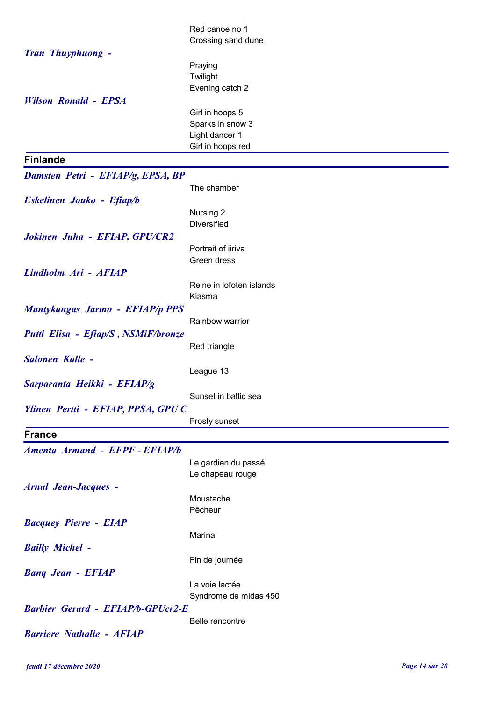|                                          | Red canoe no 1                     |
|------------------------------------------|------------------------------------|
|                                          | Crossing sand dune                 |
| Tran Thuyphuong -                        |                                    |
|                                          | Praying                            |
|                                          | Twilight                           |
| <b>Wilson Ronald - EPSA</b>              | Evening catch 2                    |
|                                          | Girl in hoops 5                    |
|                                          | Sparks in snow 3                   |
|                                          | Light dancer 1                     |
|                                          | Girl in hoops red                  |
| <b>Finlande</b>                          |                                    |
| Damsten Petri - EFIAP/g, EPSA, BP        |                                    |
|                                          | The chamber                        |
| Eskelinen Jouko - Efiap/b                | Nursing 2                          |
|                                          | <b>Diversified</b>                 |
| Jokinen Juha - EFIAP, GPU/CR2            |                                    |
|                                          | Portrait of iiriva                 |
|                                          | Green dress                        |
| Lindholm Ari - AFIAP                     |                                    |
|                                          | Reine in lofoten islands<br>Kiasma |
| <b>Mantykangas Jarmo - EFIAP/p PPS</b>   |                                    |
|                                          | Rainbow warrior                    |
| Putti Elisa - Efiap/S, NSMiF/bronze      |                                    |
|                                          | Red triangle                       |
| Salonen Kalle -                          |                                    |
|                                          | League 13                          |
| Sarparanta Heikki - EFIAP/g              |                                    |
| Ylinen Pertti - EFIAP, PPSA, GPUC        | Sunset in baltic sea               |
|                                          | Frosty sunset                      |
| <b>France</b>                            |                                    |
| Amenta Armand - EFPF - EFIAP/b           |                                    |
|                                          | Le gardien du passé                |
|                                          | Le chapeau rouge                   |
| <b>Arnal Jean-Jacques -</b>              |                                    |
|                                          | Moustache                          |
|                                          | Pêcheur                            |
| <b>Bacquey Pierre - EIAP</b>             | Marina                             |
| <b>Bailly Michel -</b>                   |                                    |
|                                          | Fin de journée                     |
| <b>Bang Jean - EFIAP</b>                 |                                    |
|                                          | La voie lactée                     |
|                                          | Syndrome de midas 450              |
| <b>Barbier Gerard - EFIAP/b-GPUcr2-E</b> |                                    |
| <b>Barriere Nathalie - AFIAP</b>         | Belle rencontre                    |
|                                          |                                    |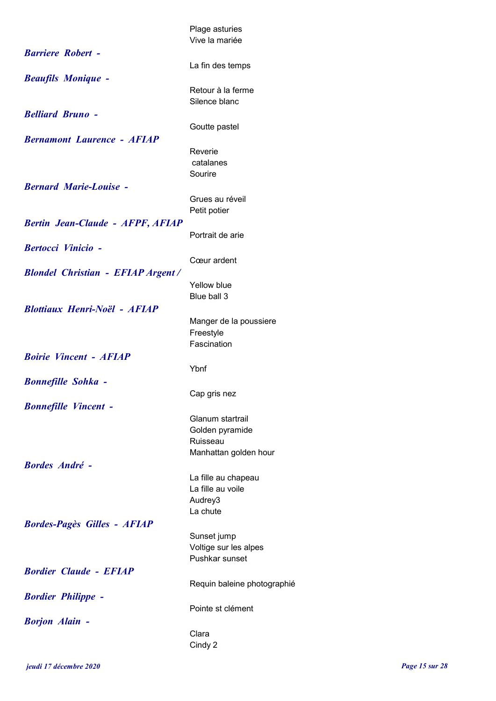|                                          | Plage asturies              |
|------------------------------------------|-----------------------------|
|                                          | Vive la mariée              |
| <b>Barriere Robert -</b>                 |                             |
|                                          | La fin des temps            |
| <b>Beaufils Monique -</b>                | Retour à la ferme           |
|                                          | Silence blanc               |
| <b>Belliard Bruno -</b>                  |                             |
|                                          | Goutte pastel               |
| <b>Bernamont Laurence - AFIAP</b>        |                             |
|                                          | Reverie                     |
|                                          | catalanes<br>Sourire        |
| <b>Bernard Marie-Louise -</b>            |                             |
|                                          | Grues au réveil             |
|                                          | Petit potier                |
| <b>Bertin Jean-Claude - AFPF, AFIAP</b>  |                             |
|                                          | Portrait de arie            |
| <b>Bertocci Vinicio -</b>                |                             |
| <b>Blondel Christian - EFIAP Argent/</b> | Cœur ardent                 |
|                                          | Yellow blue                 |
|                                          | Blue ball 3                 |
| <b>Blottiaux Henri-Noël - AFIAP</b>      |                             |
|                                          | Manger de la poussiere      |
|                                          | Freestyle<br>Fascination    |
| <b>Boirie Vincent - AFIAP</b>            |                             |
|                                          | Ybnf                        |
| <b>Bonnefille Sohka -</b>                |                             |
|                                          | Cap gris nez                |
| <b>Bonnefille Vincent -</b>              |                             |
|                                          | Glanum startrail            |
|                                          | Golden pyramide<br>Ruisseau |
|                                          | Manhattan golden hour       |
| <b>Bordes André -</b>                    |                             |
|                                          | La fille au chapeau         |
|                                          | La fille au voile           |
|                                          | Audrey3<br>La chute         |
| <b>Bordes-Pagès Gilles - AFIAP</b>       |                             |
|                                          | Sunset jump                 |
|                                          | Voltige sur les alpes       |
|                                          | Pushkar sunset              |
| <b>Bordier Claude - EFIAP</b>            |                             |
| <b>Bordier Philippe -</b>                | Requin baleine photographié |
|                                          | Pointe st clément           |
| <b>Borjon Alain -</b>                    |                             |
|                                          | Clara                       |
|                                          | Cindy 2                     |
|                                          |                             |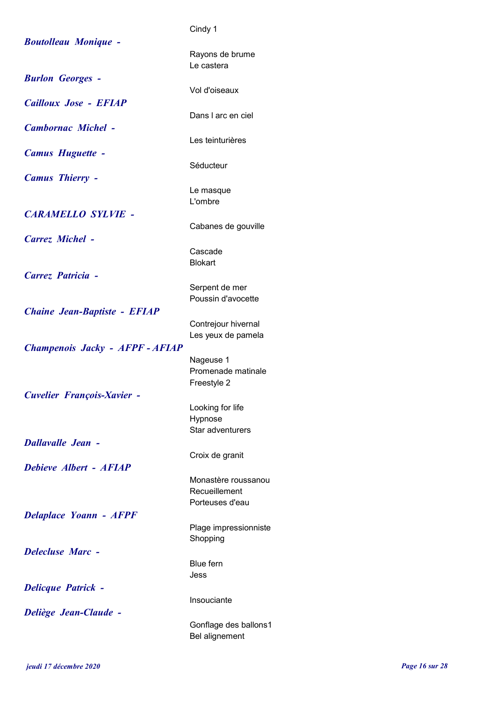|                                     | Cindy 1                       |
|-------------------------------------|-------------------------------|
| <b>Boutolleau Monique -</b>         |                               |
|                                     | Rayons de brume<br>Le castera |
|                                     |                               |
| <b>Burlon Georges -</b>             | Vol d'oiseaux                 |
| Cailloux Jose - EFIAP               |                               |
|                                     | Dans I arc en ciel            |
| <b>Cambornac Michel -</b>           |                               |
|                                     | Les teinturières              |
| <b>Camus Huguette -</b>             |                               |
|                                     | Séducteur                     |
| <b>Camus Thierry -</b>              |                               |
|                                     | Le masque                     |
|                                     | L'ombre                       |
| <b>CARAMELLO SYLVIE -</b>           |                               |
|                                     | Cabanes de gouville           |
| Carrez Michel -                     |                               |
|                                     | Cascade<br><b>Blokart</b>     |
| Carrez Patricia -                   |                               |
|                                     | Serpent de mer                |
|                                     | Poussin d'avocette            |
| <b>Chaine Jean-Baptiste - EFIAP</b> |                               |
|                                     | Contrejour hivernal           |
|                                     | Les yeux de pamela            |
| Champenois Jacky - AFPF - AFIAP     |                               |
|                                     | Nageuse 1                     |
|                                     | Promenade matinale            |
|                                     | Freestyle 2                   |
| <b>Cuvelier François-Xavier -</b>   | Looking for life              |
|                                     | Hypnose                       |
|                                     | Star adventurers              |
| <b>Dallavalle Jean -</b>            |                               |
|                                     | Croix de granit               |
| Debieve Albert - AFIAP              |                               |
|                                     | Monastère roussanou           |
|                                     | Recueillement                 |
|                                     | Porteuses d'eau               |
| <b>Delaplace Yoann - AFPF</b>       | Plage impressionniste         |
|                                     | Shopping                      |
| <b>Delecluse Marc -</b>             |                               |
|                                     | <b>Blue fern</b>              |
|                                     | Jess                          |
| <b>Delicque Patrick -</b>           |                               |
|                                     | Insouciante                   |
| <b>Deliège Jean-Claude -</b>        |                               |
|                                     | Gonflage des ballons1         |
|                                     | Bel alignement                |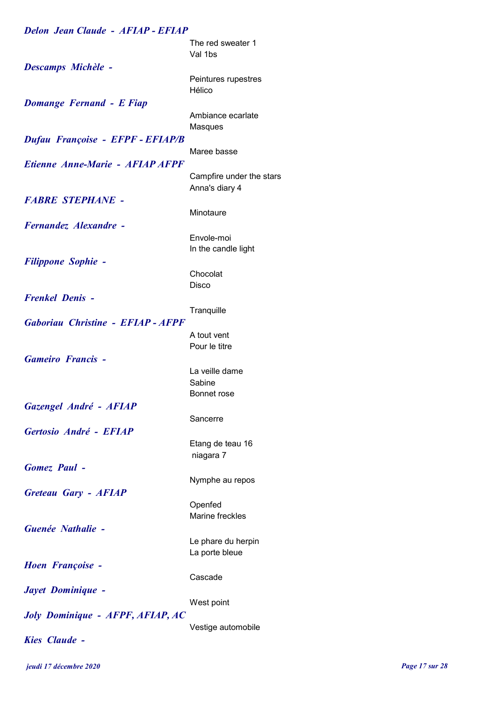| <b>Delon Jean Claude - AFIAP - EFIAP</b> |                                            |
|------------------------------------------|--------------------------------------------|
|                                          | The red sweater 1<br>Val 1bs               |
| <b>Descamps Michèle -</b>                |                                            |
|                                          | Peintures rupestres<br>Hélico              |
| <b>Domange Fernand - E Fiap</b>          |                                            |
|                                          | Ambiance ecarlate<br>Masques               |
| Dufau Françoise - EFPF - EFIAP/B         | Maree basse                                |
| Etienne Anne-Marie - AFIAP AFPF          |                                            |
|                                          | Campfire under the stars<br>Anna's diary 4 |
| <b>FABRE STEPHANE -</b>                  |                                            |
|                                          | Minotaure                                  |
| Fernandez Alexandre -                    |                                            |
|                                          | Envole-moi                                 |
|                                          | In the candle light                        |
| <b>Filippone Sophie -</b>                |                                            |
|                                          | Chocolat                                   |
|                                          | Disco                                      |
| <b>Frenkel Denis -</b>                   |                                            |
|                                          | Tranquille                                 |
| <b>Gaboriau Christine - EFIAP - AFPF</b> |                                            |
|                                          | A tout vent                                |
|                                          | Pour le titre                              |
| <b>Gameiro Francis -</b>                 |                                            |
|                                          | La veille dame                             |
|                                          | Sabine                                     |
|                                          | Bonnet rose                                |
| Gazengel André - AFIAP                   |                                            |
|                                          | Sancerre                                   |
| Gertosio André - EFIAP                   |                                            |
|                                          | Etang de teau 16                           |
|                                          | niagara 7                                  |
| <b>Gomez</b> Paul -                      |                                            |
|                                          | Nymphe au repos                            |
| <b>Greteau Gary - AFIAP</b>              |                                            |
|                                          | Openfed<br>Marine freckles                 |
| Guenée Nathalie -                        |                                            |
|                                          |                                            |
|                                          | Le phare du herpin<br>La porte bleue       |
| <b>Hoen Françoise -</b>                  |                                            |
|                                          | Cascade                                    |
| Jayet Dominique -                        |                                            |
|                                          | West point                                 |
| <b>Joly Dominique - AFPF, AFIAP, AC</b>  |                                            |
|                                          | Vestige automobile                         |
| <b>Kies Claude -</b>                     |                                            |
|                                          |                                            |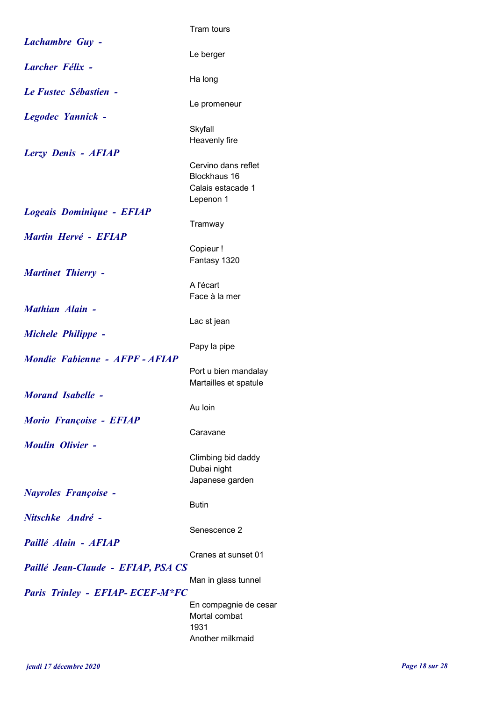|                                        | Tram tours                                                            |
|----------------------------------------|-----------------------------------------------------------------------|
| <b>Lachambre Guy -</b>                 | Le berger                                                             |
| <b>Larcher Félix -</b>                 |                                                                       |
| Le Fustec Sébastien -                  | Ha long                                                               |
| Legodec Yannick -                      | Le promeneur                                                          |
|                                        | Skyfall<br>Heavenly fire                                              |
| Lerzy Denis - AFIAP                    | Cervino dans reflet<br>Blockhaus 16<br>Calais estacade 1<br>Lepenon 1 |
| Logeais Dominique - EFIAP              | Tramway                                                               |
| Martin Hervé - EFIAP                   | Copieur !<br>Fantasy 1320                                             |
| <b>Martinet Thierry -</b>              | A l'écart<br>Face à la mer                                            |
| <b>Mathian Alain -</b>                 | Lac st jean                                                           |
| <b>Michele Philippe -</b>              |                                                                       |
| Mondie Fabienne - AFPF - AFIAP         | Papy la pipe                                                          |
| <b>Morand Isabelle -</b>               | Port u bien mandalay<br>Martailles et spatule                         |
|                                        | Au Ioin                                                               |
| Morio Françoise - EFIAP                | Caravane                                                              |
| <b>Moulin Olivier -</b>                | Climbing bid daddy<br>Dubai night<br>Japanese garden                  |
| <b>Nayroles Françoise -</b>            | <b>Butin</b>                                                          |
| Nitschke André -                       |                                                                       |
| Paillé Alain - AFIAP                   | Senescence 2                                                          |
| Paillé Jean-Claude - EFIAP, PSA CS     | Cranes at sunset 01                                                   |
| <b>Paris Trinley - EFIAP-ECEF-M*FC</b> | Man in glass tunnel                                                   |
|                                        | En compagnie de cesar<br>Mortal combat<br>1931<br>Another milkmaid    |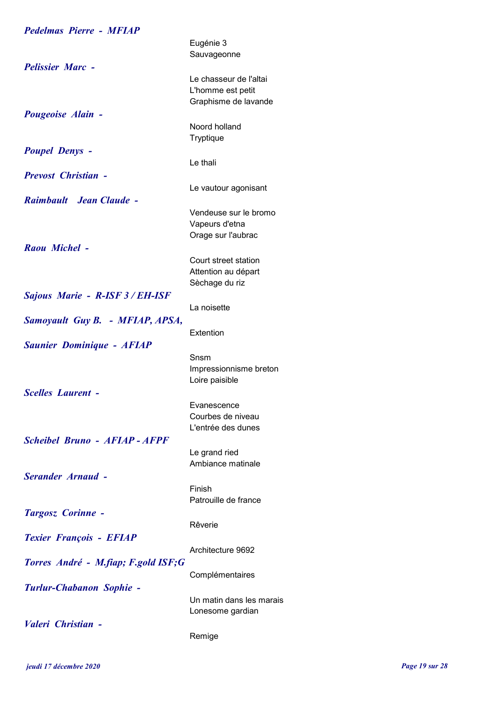| <b>Pedelmas Pierre - MFIAP</b>       |                                                                     |
|--------------------------------------|---------------------------------------------------------------------|
|                                      | Eugénie 3<br>Sauvageonne                                            |
| <b>Pelissier Marc -</b>              | Le chasseur de l'altai<br>L'homme est petit<br>Graphisme de lavande |
| Pougeoise Alain -                    | Noord holland<br>Tryptique                                          |
| <b>Poupel Denys -</b>                | Le thali                                                            |
| <b>Prevost Christian -</b>           | Le vautour agonisant                                                |
| Raimbault Jean Claude -              | Vendeuse sur le bromo                                               |
|                                      | Vapeurs d'etna<br>Orage sur l'aubrac                                |
| Raou Michel -                        | Court street station<br>Attention au départ<br>Sèchage du riz       |
| Sajous Marie - R-ISF 3 / EH-ISF      | La noisette                                                         |
| Samoyault Guy B. - MFIAP, APSA,      | Extention                                                           |
| <b>Saunier Dominique - AFIAP</b>     | Snsm                                                                |
|                                      | Impressionnisme breton<br>Loire paisible                            |
| <b>Scelles Laurent -</b>             | Evanescence<br>Courbes de niveau<br>L'entrée des dunes              |
| <b>Scheibel Bruno - AFIAP - AFPF</b> | Le grand ried                                                       |
| <b>Serander Arnaud -</b>             | Ambiance matinale<br>Finish                                         |
| <b>Targosz Corinne -</b>             | Patrouille de france                                                |
| <b>Texier François - EFIAP</b>       | Rêverie                                                             |
| Torres André - M.fiap; F.gold ISF;G  | Architecture 9692                                                   |
| <b>Turlur-Chabanon Sophie -</b>      | Complémentaires                                                     |
|                                      | Un matin dans les marais<br>Lonesome gardian                        |
| Valeri Christian -                   | Remige                                                              |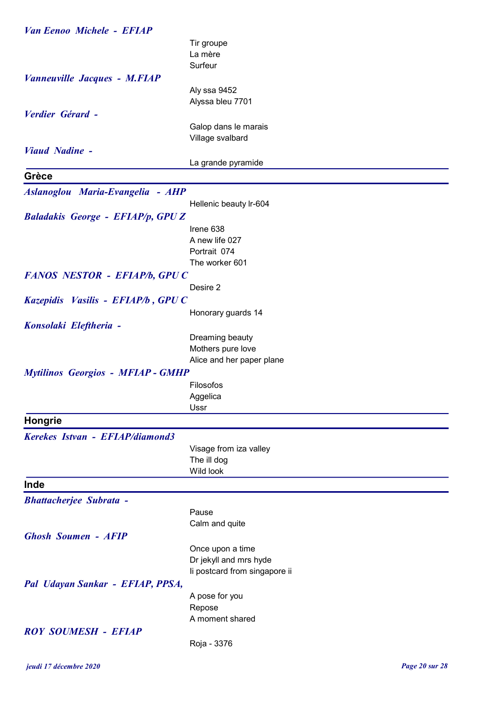| <b>Van Eenoo Michele - EFIAP</b>         |                               |
|------------------------------------------|-------------------------------|
|                                          | Tir groupe                    |
|                                          | La mère                       |
|                                          | Surfeur                       |
| Vanneuville Jacques - M.FIAP             |                               |
|                                          | Aly ssa 9452                  |
|                                          | Alyssa bleu 7701              |
| Verdier Gérard -                         |                               |
|                                          | Galop dans le marais          |
|                                          | Village svalbard              |
| <b>Viaud Nadine -</b>                    |                               |
|                                          | La grande pyramide            |
| Grèce                                    |                               |
| Aslanoglou Maria-Evangelia - AHP         |                               |
|                                          | Hellenic beauty Ir-604        |
| <b>Baladakis George - EFIAP/p, GPUZ</b>  |                               |
|                                          | Irene 638                     |
|                                          | A new life 027                |
|                                          | Portrait 074                  |
|                                          | The worker 601                |
| FANOS NESTOR - EFIAP/b, GPUC             |                               |
|                                          | Desire 2                      |
| Kazepidis Vasilis - EFIAP/b, GPU C       |                               |
|                                          | Honorary guards 14            |
| Konsolaki Eleftheria -                   |                               |
|                                          | Dreaming beauty               |
|                                          | Mothers pure love             |
|                                          | Alice and her paper plane     |
| <b>Mytilinos Georgios - MFIAP - GMHP</b> |                               |
|                                          | Filosofos                     |
|                                          | Aggelica                      |
|                                          | Ussr                          |
| Hongrie                                  |                               |
| Kerekes Istvan - EFIAP/diamond3          |                               |
|                                          | Visage from iza valley        |
|                                          | The ill dog                   |
|                                          | Wild look                     |
| Inde                                     |                               |
| <b>Bhattacherjee Subrata -</b>           |                               |
|                                          | Pause                         |
|                                          | Calm and quite                |
| <b>Ghosh Soumen - AFIP</b>               |                               |
|                                          | Once upon a time              |
|                                          | Dr jekyll and mrs hyde        |
|                                          | li postcard from singapore ii |
| Pal Udayan Sankar - EFIAP, PPSA,         |                               |
|                                          | A pose for you                |
|                                          | Repose                        |
|                                          | A moment shared               |
| <b>ROY SOUMESH - EFIAP</b>               |                               |
|                                          | Roja - 3376                   |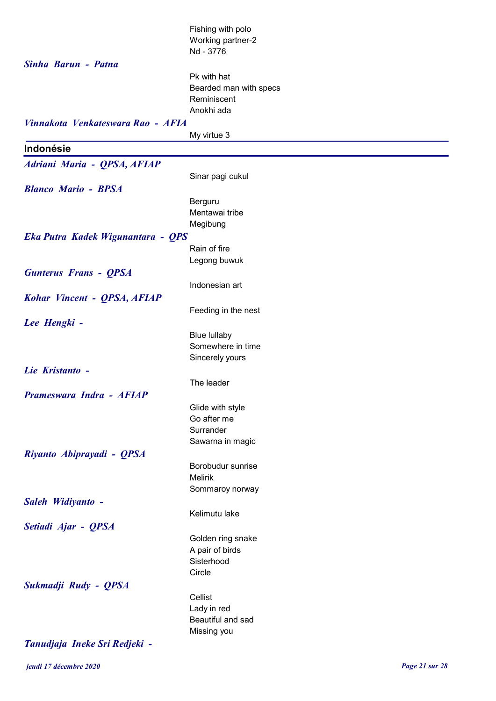|                                   | Fishing with polo                |
|-----------------------------------|----------------------------------|
|                                   | Working partner-2                |
|                                   | Nd - 3776                        |
| Sinha Barun - Patna               |                                  |
|                                   | Pk with hat                      |
|                                   | Bearded man with specs           |
|                                   | Reminiscent                      |
|                                   | Anokhi ada                       |
| Vinnakota Venkateswara Rao - AFIA |                                  |
|                                   | My virtue 3                      |
| Indonésie                         |                                  |
| Adriani Maria - QPSA, AFIAP       |                                  |
|                                   | Sinar pagi cukul                 |
| <b>Blanco Mario - BPSA</b>        |                                  |
|                                   | Berguru                          |
|                                   | Mentawai tribe                   |
|                                   | Megibung                         |
| Eka Putra Kadek Wigunantara - QPS |                                  |
|                                   | Rain of fire                     |
|                                   | Legong buwuk                     |
| <b>Gunterus Frans - QPSA</b>      |                                  |
|                                   | Indonesian art                   |
| Kohar Vincent - QPSA, AFIAP       |                                  |
|                                   | Feeding in the nest              |
| Lee Hengki -                      |                                  |
|                                   | <b>Blue lullaby</b>              |
|                                   | Somewhere in time                |
|                                   | Sincerely yours                  |
| Lie Kristanto -                   |                                  |
|                                   | The leader                       |
| Prameswara Indra - AFIAP          |                                  |
|                                   | Glide with style                 |
|                                   | Go after me                      |
|                                   | Surrander                        |
|                                   | Sawarna in magic                 |
| Riyanto Abiprayadi - QPSA         |                                  |
|                                   | Borobudur sunrise                |
|                                   | <b>Melirik</b>                   |
|                                   | Sommaroy norway                  |
| Saleh Widiyanto -                 |                                  |
|                                   | Kelimutu lake                    |
| Setiadi Ajar - QPSA               |                                  |
|                                   | Golden ring snake                |
|                                   | A pair of birds                  |
|                                   | Sisterhood                       |
|                                   | Circle                           |
| Sukmadji Rudy - QPSA              |                                  |
|                                   | Cellist                          |
|                                   | Lady in red                      |
|                                   | Beautiful and sad<br>Missing you |
|                                   |                                  |
| Tanudjaja Ineke Sri Redjeki -     |                                  |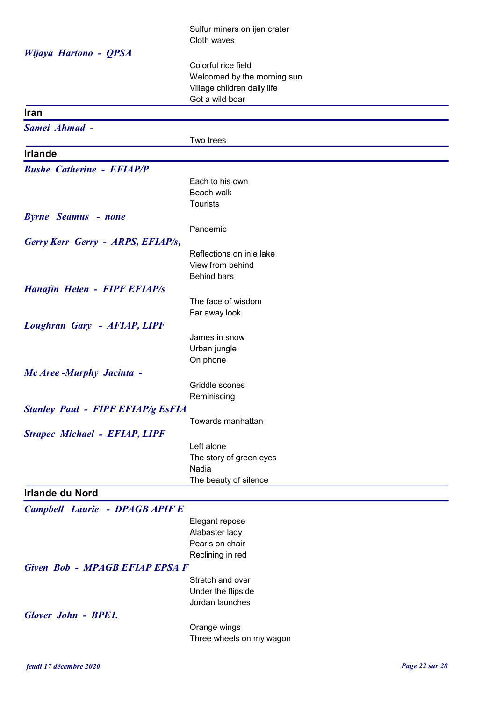|                                          | Sulfur miners on ijen crater                               |
|------------------------------------------|------------------------------------------------------------|
|                                          | Cloth waves                                                |
| Wijaya Hartono - QPSA                    |                                                            |
|                                          | Colorful rice field                                        |
|                                          | Welcomed by the morning sun<br>Village children daily life |
|                                          | Got a wild boar                                            |
| <b>Iran</b>                              |                                                            |
| Samei Ahmad -                            |                                                            |
|                                          | Two trees                                                  |
| <b>Irlande</b>                           |                                                            |
| <b>Bushe Catherine - EFIAP/P</b>         |                                                            |
|                                          | Each to his own                                            |
|                                          | Beach walk                                                 |
|                                          | <b>Tourists</b>                                            |
| <b>Byrne</b> Seamus - none               |                                                            |
|                                          | Pandemic                                                   |
| Gerry Kerr Gerry - ARPS, EFIAP/s,        |                                                            |
|                                          | Reflections on inle lake<br>View from behind               |
|                                          | <b>Behind bars</b>                                         |
| <b>Hanafin Helen - FIPF EFIAP/s</b>      |                                                            |
|                                          | The face of wisdom                                         |
|                                          | Far away look                                              |
| <b>Loughran Gary - AFIAP, LIPF</b>       |                                                            |
|                                          | James in snow                                              |
|                                          | Urban jungle                                               |
|                                          | On phone                                                   |
| Mc Aree -Murphy Jacinta -                |                                                            |
|                                          | Griddle scones                                             |
|                                          | Reminiscing                                                |
| <b>Stanley Paul - FIPF EFIAP/g EsFIA</b> |                                                            |
|                                          | Towards manhattan                                          |
| <b>Strapec Michael - EFIAP, LIPF</b>     | Left alone                                                 |
|                                          | The story of green eyes                                    |
|                                          | Nadia                                                      |
|                                          | The beauty of silence                                      |
| <b>Irlande du Nord</b>                   |                                                            |
| <b>Campbell Laurie - DPAGB APIF E</b>    |                                                            |
|                                          | Elegant repose                                             |
|                                          | Alabaster lady                                             |
|                                          | Pearls on chair                                            |
| Given Bob - MPAGB EFIAP EPSA F           | Reclining in red                                           |
|                                          | Stretch and over                                           |
|                                          | Under the flipside                                         |
|                                          | Jordan launches                                            |
| <b>Glover John - BPE1.</b>               |                                                            |
|                                          | Orange wings                                               |
|                                          | Three wheels on my wagon                                   |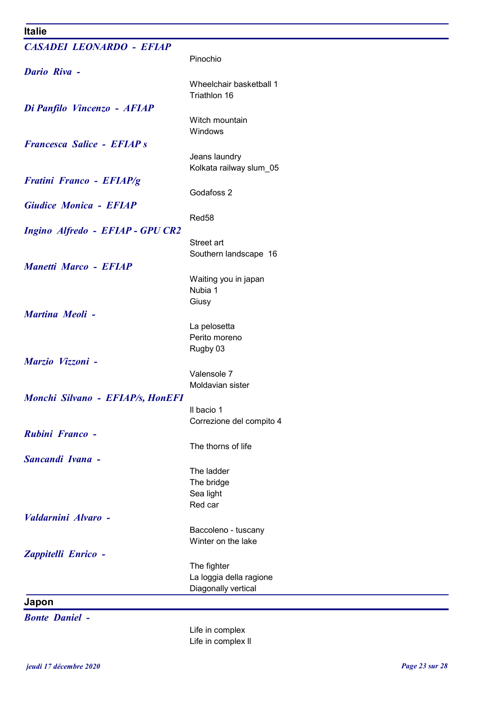## Italie

| <b>Italie</b>                     |                                 |
|-----------------------------------|---------------------------------|
| <b>CASADEI LEONARDO - EFIAP</b>   |                                 |
|                                   | Pinochio                        |
| <b>Dario Riva -</b>               |                                 |
|                                   | Wheelchair basketball 1         |
|                                   | Triathlon 16                    |
| Di Panfilo Vincenzo - AFIAP       |                                 |
|                                   | Witch mountain                  |
|                                   | Windows                         |
|                                   |                                 |
| <b>Francesca Salice - EFIAP s</b> |                                 |
|                                   | Jeans laundry                   |
|                                   | Kolkata railway slum_05         |
| <b>Fratini Franco - EFIAP/g</b>   |                                 |
|                                   | Godafoss 2                      |
| <b>Giudice Monica - EFIAP</b>     |                                 |
|                                   | Red58                           |
| Ingino Alfredo - EFIAP - GPU CR2  |                                 |
|                                   | Street art                      |
|                                   | Southern landscape 16           |
| <b>Manetti Marco - EFIAP</b>      |                                 |
|                                   | Waiting you in japan            |
|                                   | Nubia 1                         |
|                                   | Giusy                           |
| <b>Martina Meoli -</b>            |                                 |
|                                   | La pelosetta                    |
|                                   | Perito moreno                   |
|                                   | Rugby 03                        |
| Marzio Vizzoni -                  |                                 |
|                                   |                                 |
|                                   | Valensole 7<br>Moldavian sister |
|                                   |                                 |
| Monchi Silvano - EFIAP/s, HonEFI  |                                 |
|                                   | Il bacio 1                      |
|                                   | Correzione del compito 4        |
| Rubini Franco -                   |                                 |
|                                   | The thorns of life              |
| <b>Sancandi Ivana -</b>           |                                 |
|                                   | The ladder                      |
|                                   | The bridge                      |
|                                   | Sea light                       |
|                                   | Red car                         |
| Valdarnini Alvaro -               |                                 |
|                                   | Baccoleno - tuscany             |
|                                   | Winter on the lake              |
| Zappitelli Enrico -               |                                 |
|                                   | The fighter                     |
|                                   | La loggia della ragione         |
|                                   | Diagonally vertical             |
| Japon                             |                                 |
|                                   |                                 |
| <b>Bonte Daniel -</b>             |                                 |

Life in complex Life in complex ll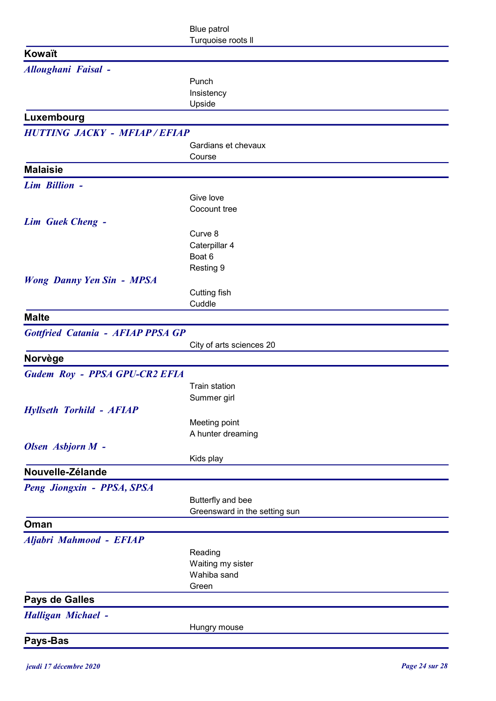|                                          | <b>Blue patrol</b><br>Turquoise roots II           |
|------------------------------------------|----------------------------------------------------|
| Kowaït                                   |                                                    |
| <b>Alloughani Faisal -</b>               |                                                    |
|                                          | Punch                                              |
|                                          | Insistency                                         |
|                                          | Upside                                             |
| Luxembourg                               |                                                    |
| <b>HUTTING JACKY - MFIAP/EFIAP</b>       |                                                    |
|                                          | Gardians et chevaux<br>Course                      |
| <b>Malaisie</b>                          |                                                    |
| Lim Billion -                            |                                                    |
|                                          | Give love                                          |
|                                          | Cocount tree                                       |
| <b>Lim Guek Cheng -</b>                  |                                                    |
|                                          | Curve 8                                            |
|                                          | Caterpillar 4<br>Boat 6                            |
|                                          | Resting 9                                          |
| <b>Wong Danny Yen Sin - MPSA</b>         |                                                    |
|                                          | Cutting fish                                       |
|                                          | Cuddle                                             |
| <b>Malte</b>                             |                                                    |
| <b>Gottfried Catania - AFIAP PPSA GP</b> |                                                    |
|                                          | City of arts sciences 20                           |
| Norvège                                  |                                                    |
| Gudem Roy - PPSA GPU-CR2 EFIA            |                                                    |
|                                          | <b>Train station</b><br>Summer girl                |
| <b>Hyllseth Torhild - AFIAP</b>          |                                                    |
|                                          | Meeting point                                      |
|                                          | A hunter dreaming                                  |
| Olsen Asbjorn M -                        |                                                    |
|                                          | Kids play                                          |
| Nouvelle-Zélande                         |                                                    |
| Peng Jiongxin - PPSA, SPSA               |                                                    |
|                                          | Butterfly and bee<br>Greensward in the setting sun |
| Oman                                     |                                                    |
| Aljabri Mahmood - EFIAP                  |                                                    |
|                                          | Reading                                            |
|                                          | Waiting my sister                                  |
|                                          | Wahiba sand                                        |
|                                          | Green                                              |
| Pays de Galles                           |                                                    |
| <b>Halligan Michael -</b>                |                                                    |
|                                          | Hungry mouse                                       |
| Pays-Bas                                 |                                                    |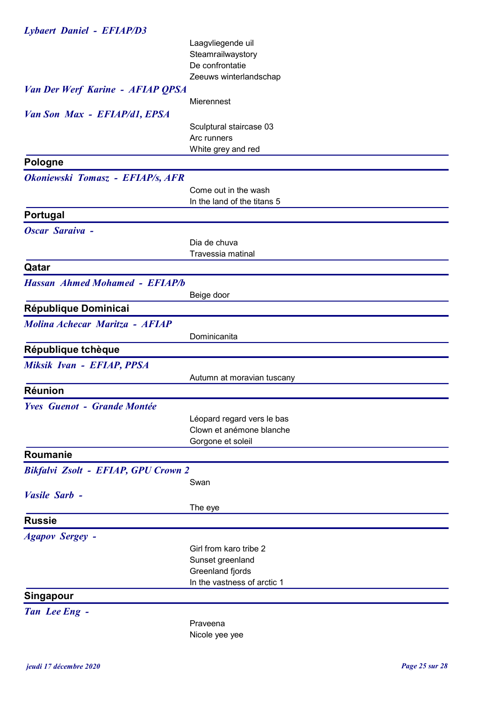| <b>Lybaert Daniel - EFIAP/D3</b>        |                             |  |
|-----------------------------------------|-----------------------------|--|
|                                         | Laagvliegende uil           |  |
|                                         | Steamrailwaystory           |  |
|                                         | De confrontatie             |  |
|                                         | Zeeuws winterlandschap      |  |
| <b>Van Der Werf Karine - AFIAP QPSA</b> |                             |  |
|                                         | Mierennest                  |  |
| Van Son Max - EFIAP/d1, EPSA            |                             |  |
|                                         | Sculptural staircase 03     |  |
|                                         | Arc runners                 |  |
|                                         | White grey and red          |  |
| <b>Pologne</b>                          |                             |  |
| Okoniewski Tomasz - EFIAP/s, AFR        |                             |  |
|                                         | Come out in the wash        |  |
|                                         | In the land of the titans 5 |  |
| Portugal                                |                             |  |
| Oscar Saraiva -                         |                             |  |
|                                         | Dia de chuva                |  |
|                                         | Travessia matinal           |  |
| Qatar                                   |                             |  |
| <b>Hassan Ahmed Mohamed - EFIAP/b</b>   |                             |  |
|                                         | Beige door                  |  |
| République Dominicai                    |                             |  |
| Molina Achecar Maritza - AFIAP          |                             |  |
|                                         | Dominicanita                |  |
| République tchèque                      |                             |  |
| Miksik Ivan - EFIAP, PPSA               |                             |  |
|                                         | Autumn at moravian tuscany  |  |
| <b>Réunion</b>                          |                             |  |
| <b>Yves Guenot - Grande Montée</b>      |                             |  |
|                                         | Léopard regard vers le bas  |  |
|                                         | Clown et anémone blanche    |  |
|                                         | Gorgone et soleil           |  |
| Roumanie                                |                             |  |
| Bikfalvi Zsolt - EFIAP, GPU Crown 2     |                             |  |
|                                         | Swan                        |  |
| Vasile Sarb -                           |                             |  |
|                                         | The eye                     |  |
| <b>Russie</b>                           |                             |  |
| <b>Agapov Sergey -</b>                  |                             |  |
|                                         | Girl from karo tribe 2      |  |
|                                         | Sunset greenland            |  |
|                                         | Greenland fjords            |  |
|                                         | In the vastness of arctic 1 |  |
| <b>Singapour</b>                        |                             |  |
| Tan Lee Eng -                           |                             |  |
|                                         | Praveena                    |  |
|                                         | Nicole yee yee              |  |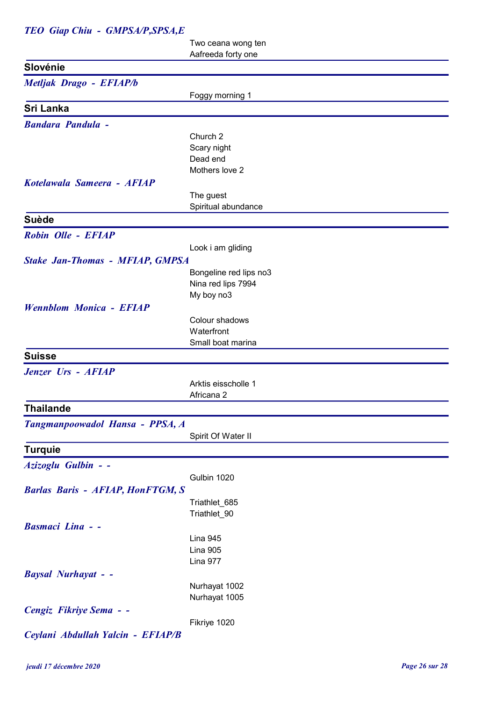## TEO Giap Chiu - GMPSA/P,SPSA,E

Two ceana wong ten Aafreeda forty one

| Slovénie                                |                                  |
|-----------------------------------------|----------------------------------|
| Metljak Drago - EFIAP/b                 |                                  |
|                                         | Foggy morning 1                  |
| Sri Lanka                               |                                  |
| <b>Bandara Pandula -</b>                |                                  |
|                                         | Church 2                         |
|                                         | Scary night                      |
|                                         | Dead end                         |
|                                         | Mothers love 2                   |
| Kotelawala Sameera - AFIAP              |                                  |
|                                         | The guest                        |
|                                         | Spiritual abundance              |
| <b>Suède</b>                            |                                  |
| Robin Olle - EFIAP                      |                                  |
|                                         |                                  |
|                                         | Look i am gliding                |
| <b>Stake Jan-Thomas - MFIAP, GMPSA</b>  |                                  |
|                                         | Bongeline red lips no3           |
|                                         | Nina red lips 7994<br>My boy no3 |
| <b>Wennblom Monica - EFIAP</b>          |                                  |
|                                         | Colour shadows                   |
|                                         | Waterfront                       |
|                                         | Small boat marina                |
| <b>Suisse</b>                           |                                  |
|                                         |                                  |
| Jenzer Urs - AFIAP                      |                                  |
|                                         | Arktis eisscholle 1              |
|                                         | Africana 2                       |
| <b>Thailande</b>                        |                                  |
| Tangmanpoowadol Hansa - PPSA, A         |                                  |
|                                         | Spirit Of Water II               |
| <b>Turquie</b>                          |                                  |
| Azizoglu Gulbin - -                     |                                  |
|                                         | Gulbin 1020                      |
| <b>Barlas Baris - AFIAP, HonFTGM, S</b> |                                  |
|                                         | Triathlet_685                    |
|                                         | Triathlet_90                     |
| <b>Basmaci Lina - -</b>                 |                                  |
|                                         | Lina 945                         |
|                                         | Lina 905                         |
|                                         | Lina 977                         |
| <b>Baysal Nurhayat - -</b>              |                                  |
|                                         | Nurhayat 1002                    |
|                                         | Nurhayat 1005                    |
| Cengiz Fikriye Sema - -                 |                                  |
|                                         | Fikriye 1020                     |
|                                         |                                  |
| Ceylani Abdullah Yalcin - EFIAP/B       |                                  |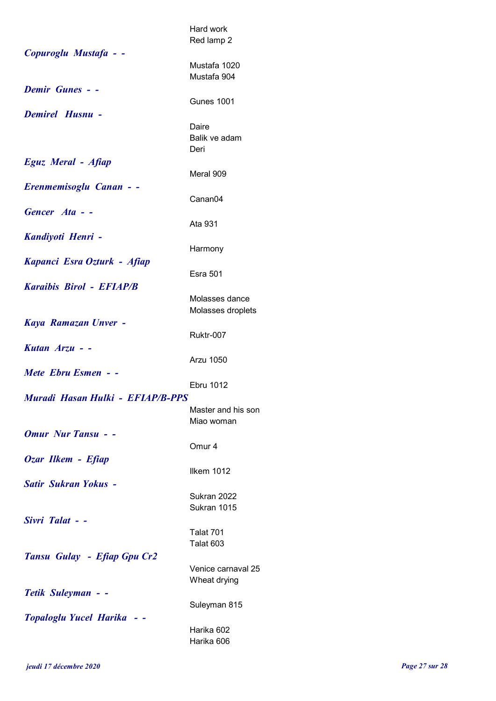|                                  | Hard work<br>Red lamp 2             |  |
|----------------------------------|-------------------------------------|--|
| Copuroglu Mustafa - -            | Mustafa 1020<br>Mustafa 904         |  |
| <b>Demir Gunes - -</b>           | <b>Gunes 1001</b>                   |  |
| <b>Demirel Husnu -</b>           | Daire<br>Balik ve adam<br>Deri      |  |
| Eguz Meral - Afiap               | Meral 909                           |  |
| Erenmemisoglu Canan - -          | Canan <sub>04</sub>                 |  |
| Gencer Ata - -                   | Ata 931                             |  |
| Kandiyoti Henri -                |                                     |  |
| Kapanci Esra Ozturk - Afiap      | Harmony                             |  |
| <b>Karaibis Birol - EFIAP/B</b>  | <b>Esra 501</b>                     |  |
|                                  | Molasses dance<br>Molasses droplets |  |
| Kaya Ramazan Unver -             | Ruktr-007                           |  |
| Kutan $Arzu$ - -                 | Arzu 1050                           |  |
| Mete Ebru Esmen - -              | Ebru 1012                           |  |
| Muradi Hasan Hulki - EFIAP/B-PPS |                                     |  |
|                                  | Master and his son<br>Miao woman    |  |
| <b>Omur Nur Tansu - -</b>        | Omur <sub>4</sub>                   |  |
| Ozar Ilkem - Efiap               | Ilkem 1012                          |  |
| <b>Satir Sukran Yokus -</b>      | Sukran 2022                         |  |
| Sivri Talat - -                  | Sukran 1015                         |  |
|                                  | Talat 701<br>Talat 603              |  |
| Tansu Gulay - Efiap Gpu Cr2      | Venice carnaval 25                  |  |
|                                  | Wheat drying                        |  |
| Tetik Suleyman - -               | Suleyman 815                        |  |
| Topaloglu Yucel Harika           | Harika 602                          |  |
|                                  | Harika 606                          |  |